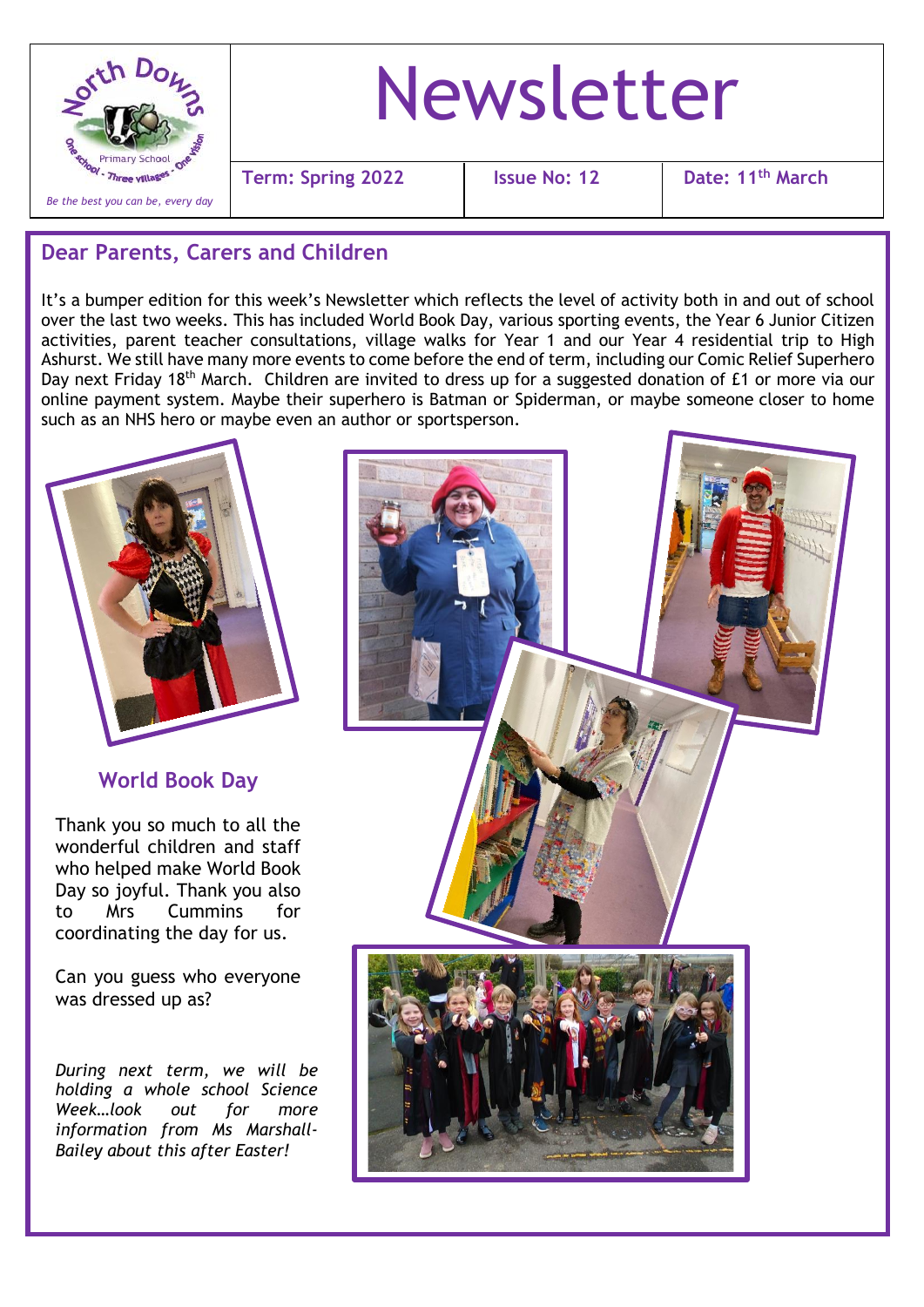

# Newsletter

**Term: Spring 2022 Issue No: 12 Date: 11th March**

## **Dear Parents, Carers and Children**

It's a bumper edition for this week's Newsletter which reflects the level of activity both in and out of school over the last two weeks. This has included World Book Day, various sporting events, the Year 6 Junior Citizen activities, parent teacher consultations, village walks for Year 1 and our Year 4 residential trip to High Ashurst. We still have many more events to come before the end of term, including our Comic Relief Superhero Dav next Friday 18<sup>th</sup> March. Children are invited to dress up for a suggested donation of £1 or more via our online payment system. Maybe their superhero is Batman or Spiderman, or maybe someone closer to home such as an NHS hero or maybe even an author or sportsperson.

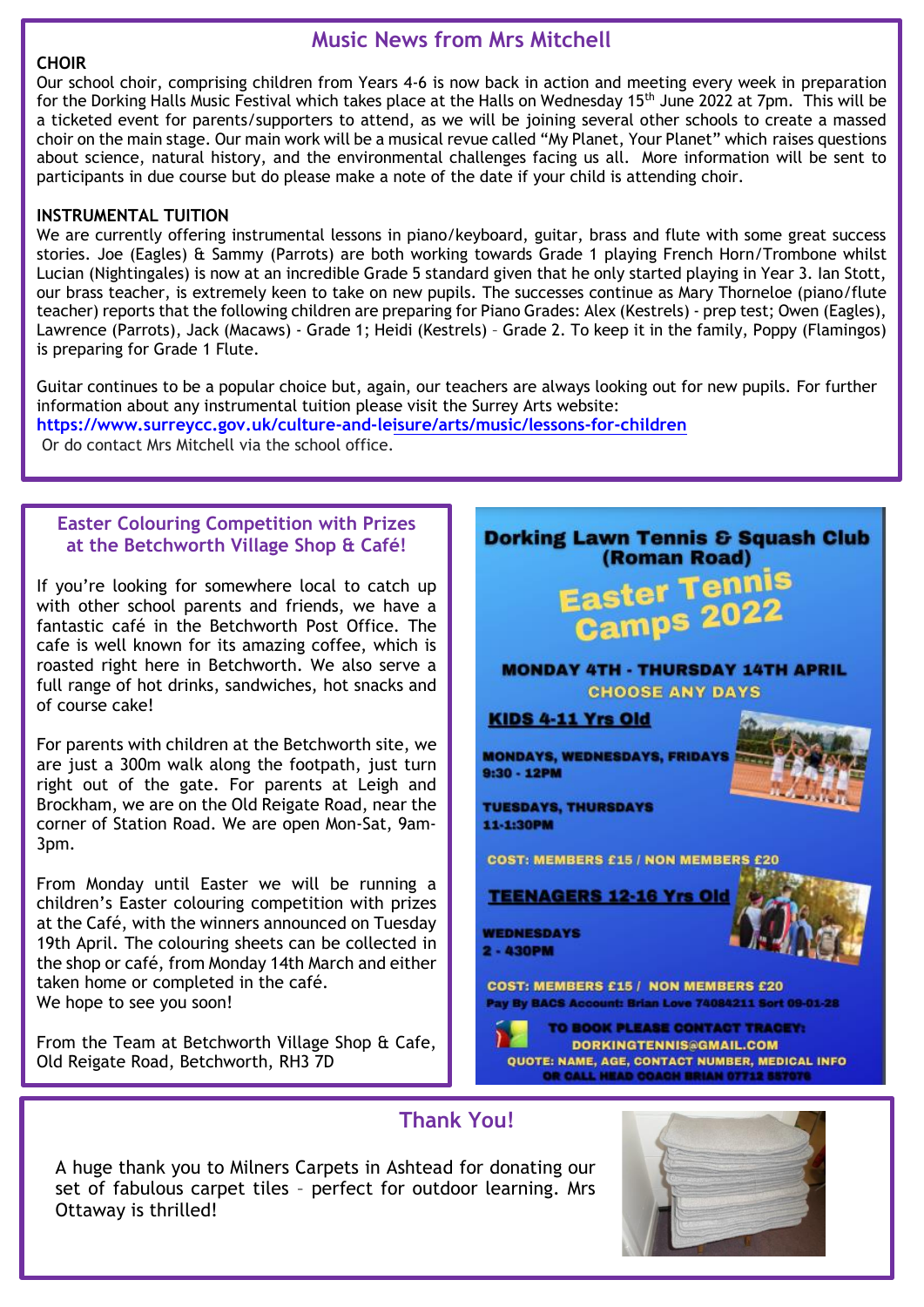#### **CHOIR**

## **Music News from Mrs Mitchell**

Our school choir, comprising children from Years 4-6 is now back in action and meeting every week in preparation for the Dorking Halls Music Festival which takes place at the Halls on Wednesday 15<sup>th</sup> June 2022 at 7pm. This will be a ticketed event for parents/supporters to attend, as we will be joining several other schools to create a massed choir on the main stage. Our main work will be a musical revue called "My Planet, Your Planet" which raises questions about science, natural history, and the environmental challenges facing us all. More information will be sent to participants in due course but do please make a note of the date if your child is attending choir.

#### **INSTRUMENTAL TUITION**

We are currently offering instrumental lessons in piano/keyboard, guitar, brass and flute with some great success stories. Joe (Eagles) & Sammy (Parrots) are both working towards Grade 1 playing French Horn/Trombone whilst Lucian (Nightingales) is now at an incredible Grade 5 standard given that he only started playing in Year 3. Ian Stott, our brass teacher, is extremely keen to take on new pupils. The successes continue as Mary Thorneloe (piano/flute teacher) reports that the following children are preparing for Piano Grades: Alex (Kestrels) - prep test; Owen (Eagles), Lawrence (Parrots), Jack (Macaws) - Grade 1; Heidi (Kestrels) – Grade 2. To keep it in the family, Poppy (Flamingos) is preparing for Grade 1 Flute.

Guitar continues to be a popular choice but, again, our teachers are always looking out for new pupils. For further information about any instrumental tuition please visit the Surrey Arts website:

**<https://www.surreycc.gov.uk/culture-and-leisure/arts/music/lessons-for-children>** Or do contact Mrs Mitchell via the school office.

### **Easter Colouring Competition with Prizes at the Betchworth Village Shop & Café!**

If you're looking for somewhere local to catch up with other school parents and friends, we have a fantastic café in the Betchworth Post Office. The cafe is well known for its amazing coffee, which is roasted right here in Betchworth. We also serve a full range of hot drinks, sandwiches, hot snacks and of course cake!

For parents with children at the Betchworth site, we are just a 300m walk along the footpath, just turn right out of the gate. For parents at Leigh and Brockham, we are on the Old Reigate Road, near the corner of Station Road. We are open Mon-Sat, 9am-3pm.

From Monday until Easter we will be running a children's Easter colouring competition with prizes at the Café, with the winners announced on Tuesday 19th April. The colouring sheets can be collected in the shop or café, from Monday 14th March and either taken home or completed in the café. We hope to see you soon!

From the Team at Betchworth Village Shop & Cafe, Old Reigate Road, Betchworth, RH3 7D



## **Thank You!**

A huge thank you to Milners Carpets in Ashtead for donating our set of fabulous carpet tiles – perfect for outdoor learning. Mrs Ottaway is thrilled!